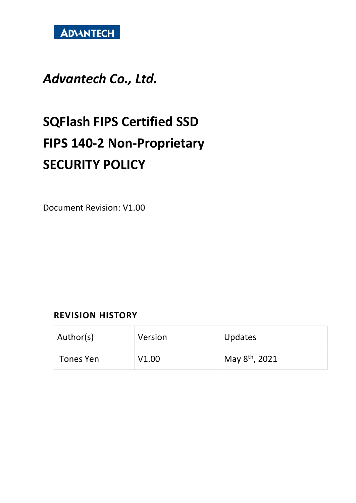

# *Advantech Co., Ltd.*

# **SQFlash FIPS Certified SSD FIPS 140-2 Non-Proprietary SECURITY POLICY**

Document Revision: V1.00

#### **REVISION HISTORY**

| Author(s) | Version | Updates                            |
|-----------|---------|------------------------------------|
| Tones Yen | V1.00   | $\vert$ May 8 <sup>th</sup> , 2021 |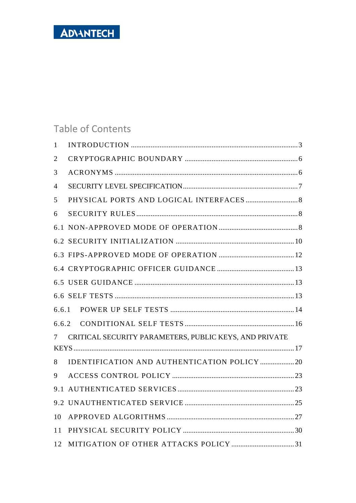# Table of Contents

| 1              |                                                        |
|----------------|--------------------------------------------------------|
| 2              |                                                        |
| 3              |                                                        |
| $\overline{4}$ |                                                        |
| 5              |                                                        |
| 6              |                                                        |
|                |                                                        |
|                |                                                        |
|                |                                                        |
|                |                                                        |
|                |                                                        |
|                |                                                        |
| 6.6.1          |                                                        |
|                |                                                        |
| 7              | CRITICAL SECURITY PARAMETERS, PUBLIC KEYS, AND PRIVATE |
|                |                                                        |
| 8              | IDENTIFICATION AND AUTHENTICATION POLICY  20           |
| 9              |                                                        |
| 9.1            |                                                        |
|                |                                                        |
| 10             |                                                        |
| 11             |                                                        |
| 12             |                                                        |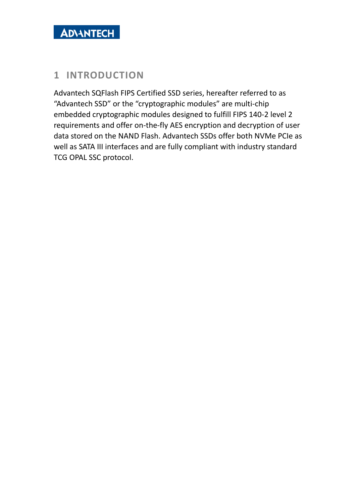#### <span id="page-2-0"></span>**1 INTRODUCTION**

Advantech SQFlash FIPS Certified SSD series, hereafter referred to as "Advantech SSD" or the "cryptographic modules" are multi-chip embedded cryptographic modules designed to fulfill FIPS 140-2 level 2 requirements and offer on-the-fly AES encryption and decryption of user data stored on the NAND Flash. Advantech SSDs offer both NVMe PCIe as well as SATA III interfaces and are fully compliant with industry standard TCG OPAL SSC protocol.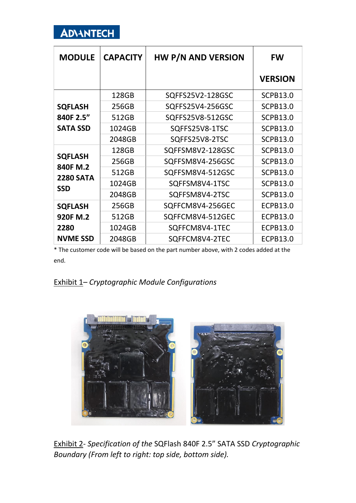

| <b>MODULE</b>              | <b>CAPACITY</b> | <b>HW P/N AND VERSION</b> | <b>FW</b>       |
|----------------------------|-----------------|---------------------------|-----------------|
|                            |                 |                           | <b>VERSION</b>  |
|                            | 128GB           | SQFFS25V2-128GSC          | <b>SCPB13.0</b> |
| <b>SQFLASH</b>             | 256GB           | SQFFS25V4-256GSC          | <b>SCPB13.0</b> |
| 840F 2.5"                  | 512GB           | SQFFS25V8-512GSC          | <b>SCPB13.0</b> |
| <b>SATA SSD</b>            | 1024GB          | SQFFS25V8-1TSC            | <b>SCPB13.0</b> |
|                            | 2048GB          | SQFFS25V8-2TSC            | <b>SCPB13.0</b> |
|                            | 128GB           | SQFFSM8V2-128GSC          | <b>SCPB13.0</b> |
| <b>SQFLASH</b><br>840F M.2 | 256GB           | SQFFSM8V4-256GSC          | <b>SCPB13.0</b> |
| <b>2280 SATA</b>           | 512GB           | SQFFSM8V4-512GSC          | <b>SCPB13.0</b> |
| <b>SSD</b>                 | 1024GB          | SQFFSM8V4-1TSC            | <b>SCPB13.0</b> |
|                            | 2048GB          | SQFFSM8V4-2TSC            | <b>SCPB13.0</b> |
| <b>SQFLASH</b>             | 256GB           | SQFFCM8V4-256GEC          | <b>ECPB13.0</b> |
| 920F M.2                   | 512GB           | SQFFCM8V4-512GEC          | <b>ECPB13.0</b> |
| 2280                       | 1024GB          | SQFFCM8V4-1TEC            | <b>ECPB13.0</b> |
| <b>NVME SSD</b>            | 2048GB          | SQFFCM8V4-2TEC            | <b>ECPB13.0</b> |

\* The customer code will be based on the part number above, with 2 codes added at the end.



Exhibit 2- *Specification of the* SQFlash 840F 2.5" SATA SSD *Cryptographic Boundary (From left to right: top side, bottom side).*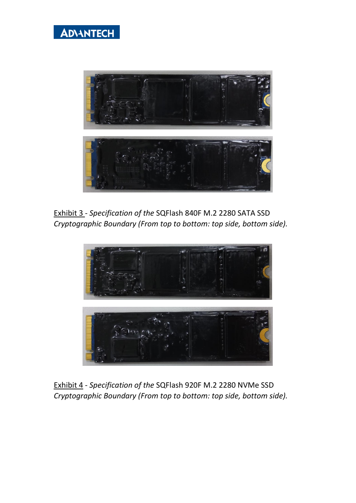



Exhibit 3 - *Specification of the* SQFlash 840F M.2 2280 SATA SSD *Cryptographic Boundary (From top to bottom: top side, bottom side).*



Exhibit 4 - *Specification of the* SQFlash 920F M.2 2280 NVMe SSD *Cryptographic Boundary (From top to bottom: top side, bottom side).*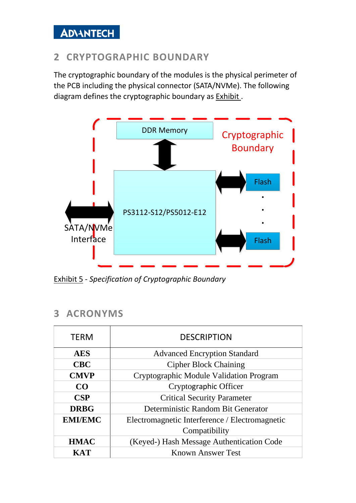# <span id="page-5-0"></span>**2 CRYPTOGRAPHIC BOUNDARY**

The cryptographic boundary of the modules is the physical perimeter of the PCB including the physical connector (SATA/NVMe). The following diagram defines the cryptographic boundary as [Exhibit](#page-5-2) .



<span id="page-5-2"></span>Exhibit 5 - *Specification of Cryptographic Boundary*

#### <span id="page-5-1"></span>**3 ACRONYMS**

| <b>TERM</b>    | <b>DESCRIPTION</b>                             |  |  |
|----------------|------------------------------------------------|--|--|
| <b>AES</b>     | <b>Advanced Encryption Standard</b>            |  |  |
| <b>CBC</b>     | <b>Cipher Block Chaining</b>                   |  |  |
| <b>CMVP</b>    | Cryptographic Module Validation Program        |  |  |
| CO             | Cryptographic Officer                          |  |  |
| CSP            | <b>Critical Security Parameter</b>             |  |  |
| <b>DRBG</b>    | Deterministic Random Bit Generator             |  |  |
| <b>EMI/EMC</b> | Electromagnetic Interference / Electromagnetic |  |  |
|                | Compatibility                                  |  |  |
| <b>HMAC</b>    | (Keyed-) Hash Message Authentication Code      |  |  |
| <b>KAT</b>     | <b>Known Answer Test</b>                       |  |  |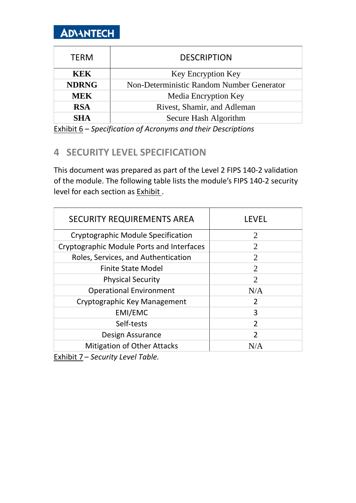| <b>TERM</b>  | <b>DESCRIPTION</b>                        |
|--------------|-------------------------------------------|
| <b>KEK</b>   | <b>Key Encryption Key</b>                 |
| <b>NDRNG</b> | Non-Deterministic Random Number Generator |
| <b>MEK</b>   | Media Encryption Key                      |
| <b>RSA</b>   | Rivest, Shamir, and Adleman               |
| <b>SHA</b>   | Secure Hash Algorithm                     |

<span id="page-6-0"></span>Exhibit 6 – *Specification of Acronyms and their Descriptions*

### **4 SECURITY LEVEL SPECIFICATION**

This document was prepared as part of the Level 2 FIPS 140-2 validation of the module. The following table lists the module's FIPS 140-2 security level for each section as [Exhibit](#page-6-1) .

| <b>SECURITY REQUIREMENTS AREA</b>         | <b>LEVEL</b>                |
|-------------------------------------------|-----------------------------|
| Cryptographic Module Specification        | $\overline{2}$              |
| Cryptographic Module Ports and Interfaces | 2                           |
| Roles, Services, and Authentication       | $\mathcal{D}_{\mathcal{L}}$ |
| <b>Finite State Model</b>                 | $\overline{2}$              |
| <b>Physical Security</b>                  | 2                           |
| <b>Operational Environment</b>            | N/A                         |
| Cryptographic Key Management              | $\mathcal{P}$               |
| EMI/EMC                                   | 3                           |
| Self-tests                                | $\mathcal{P}$               |
| Design Assurance                          | C                           |
| <b>Mitigation of Other Attacks</b>        |                             |

<span id="page-6-1"></span>Exhibit 7 – *Security Level Table.*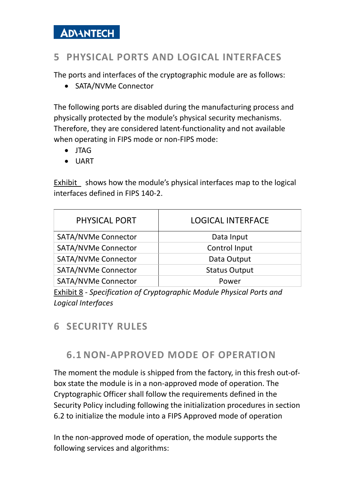# <span id="page-7-0"></span>**5 PHYSICAL PORTS AND LOGICAL INTERFACES**

The ports and interfaces of the cryptographic module are as follows:

• SATA/NVMe Connector

The following ports are disabled during the manufacturing process and physically protected by the module's physical security mechanisms. Therefore, they are considered latent-functionality and not available when operating in FIPS mode or non-FIPS mode:

- JTAG
- UART

[Exhibit](#page-7-3) shows how the module's physical interfaces map to the logical interfaces defined in FIPS 140-2.

| PHYSICAL PORT              | <b>LOGICAL INTERFACE</b> |
|----------------------------|--------------------------|
| <b>SATA/NVMe Connector</b> | Data Input               |
| <b>SATA/NVMe Connector</b> | Control Input            |
| <b>SATA/NVMe Connector</b> | Data Output              |
| <b>SATA/NVMe Connector</b> | <b>Status Output</b>     |
| <b>SATA/NVMe Connector</b> | Power                    |

<span id="page-7-3"></span>Exhibit 8 *- Specification of Cryptographic Module Physical Ports and Logical Interfaces*

#### <span id="page-7-2"></span><span id="page-7-1"></span>**6 SECURITY RULES**

#### **6.1 NON-APPROVED MODE OF OPERATION**

The moment the module is shipped from the factory, in this fresh out-ofbox state the module is in a non-approved mode of operation. The Cryptographic Officer shall follow the requirements defined in the Security Policy including following the initialization procedures in section 6.2 to initialize the module into a FIPS Approved mode of operation

In the non-approved mode of operation, the module supports the following services and algorithms: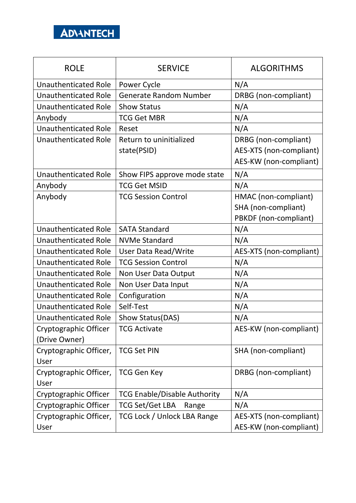

| <b>ROLE</b>                 | <b>SERVICE</b>                      | <b>ALGORITHMS</b>       |
|-----------------------------|-------------------------------------|-------------------------|
| <b>Unauthenticated Role</b> | Power Cycle                         | N/A                     |
| <b>Unauthenticated Role</b> | <b>Generate Random Number</b>       | DRBG (non-compliant)    |
| <b>Unauthenticated Role</b> | <b>Show Status</b>                  | N/A                     |
| Anybody                     | <b>TCG Get MBR</b>                  | N/A                     |
| <b>Unauthenticated Role</b> | Reset                               | N/A                     |
| <b>Unauthenticated Role</b> | Return to uninitialized             | DRBG (non-compliant)    |
|                             | state(PSID)                         | AES-XTS (non-compliant) |
|                             |                                     | AES-KW (non-compliant)  |
| <b>Unauthenticated Role</b> | Show FIPS approve mode state        | N/A                     |
| Anybody                     | <b>TCG Get MSID</b>                 | N/A                     |
| Anybody                     | <b>TCG Session Control</b>          | HMAC (non-compliant)    |
|                             |                                     | SHA (non-compliant)     |
|                             |                                     | PBKDF (non-compliant)   |
| Unauthenticated Role        | <b>SATA Standard</b>                | N/A                     |
| <b>Unauthenticated Role</b> | <b>NVMe Standard</b>                | N/A                     |
| <b>Unauthenticated Role</b> | User Data Read/Write                | AES-XTS (non-compliant) |
| <b>Unauthenticated Role</b> | <b>TCG Session Control</b>          | N/A                     |
| <b>Unauthenticated Role</b> | Non User Data Output                | N/A                     |
| <b>Unauthenticated Role</b> | Non User Data Input                 | N/A                     |
| <b>Unauthenticated Role</b> | Configuration                       | N/A                     |
| <b>Unauthenticated Role</b> | Self-Test                           | N/A                     |
| <b>Unauthenticated Role</b> | Show Status(DAS)                    | N/A                     |
| Cryptographic Officer       | <b>TCG Activate</b>                 | AES-KW (non-compliant)  |
| (Drive Owner)               |                                     |                         |
| Cryptographic Officer,      | <b>TCG Set PIN</b>                  | SHA (non-compliant)     |
| User                        |                                     |                         |
| Cryptographic Officer,      | <b>TCG Gen Key</b>                  | DRBG (non-compliant)    |
| User                        |                                     |                         |
| Cryptographic Officer       | <b>TCG Enable/Disable Authority</b> | N/A                     |
| Cryptographic Officer       | <b>TCG Set/Get LBA</b><br>Range     | N/A                     |
| Cryptographic Officer,      | TCG Lock / Unlock LBA Range         | AES-XTS (non-compliant) |
| User                        |                                     | AES-KW (non-compliant)  |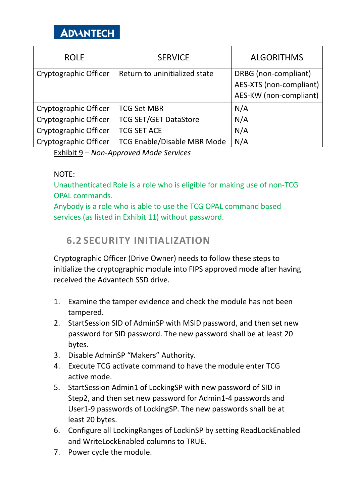| <b>ROLE</b>           | <b>SERVICE</b>                     | <b>ALGORITHMS</b>                                                         |
|-----------------------|------------------------------------|---------------------------------------------------------------------------|
| Cryptographic Officer | Return to uninitialized state      | DRBG (non-compliant)<br>AES-XTS (non-compliant)<br>AES-KW (non-compliant) |
| Cryptographic Officer | <b>TCG Set MBR</b>                 | N/A                                                                       |
| Cryptographic Officer | <b>TCG SET/GET DataStore</b>       | N/A                                                                       |
| Cryptographic Officer | <b>TCG SET ACE</b>                 | N/A                                                                       |
| Cryptographic Officer | <b>TCG Enable/Disable MBR Mode</b> | N/A                                                                       |

Exhibit 9 – *Non-Approved Mode Services*

#### NOTE:

Unauthenticated Role is a role who is eligible for making use of non-TCG OPAL commands.

Anybody is a role who is able to use the TCG OPAL command based services (as listed in Exhibit 11) without password.

#### <span id="page-9-0"></span>**6.2 SECURITY INITIALIZATION**

Cryptographic Officer (Drive Owner) needs to follow these steps to initialize the cryptographic module into FIPS approved mode after having received the Advantech SSD drive.

- 1. Examine the tamper evidence and check the module has not been tampered.
- 2. StartSession SID of AdminSP with MSID password, and then set new password for SID password. The new password shall be at least 20 bytes.
- 3. Disable AdminSP "Makers" Authority.
- 4. Execute TCG activate command to have the module enter TCG active mode.
- 5. StartSession Admin1 of LockingSP with new password of SID in Step2, and then set new password for Admin1-4 passwords and User1-9 passwords of LockingSP. The new passwords shall be at least 20 bytes.
- 6. Configure all LockingRanges of LockinSP by setting ReadLockEnabled and WriteLockEnabled columns to TRUE.
- 7. Power cycle the module.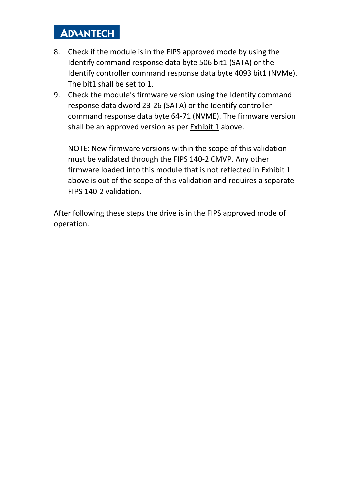- 8. Check if the module is in the FIPS approved mode by using the Identify command response data byte 506 bit1 (SATA) or the Identify controller command response data byte 4093 bit1 (NVMe). The bit1 shall be set to 1.
- 9. Check the module's firmware version using the Identify command response data dword 23-26 (SATA) or the Identify controller command response data byte 64-71 (NVME). The firmware version shall be an approved version as per Exhibit 1 above.

NOTE: New firmware versions within the scope of this validation must be validated through the FIPS 140-2 CMVP. Any other firmware loaded into this module that is not reflected in Exhibit 1 above is out of the scope of this validation and requires a separate FIPS 140-2 validation.

After following these steps the drive is in the FIPS approved mode of operation.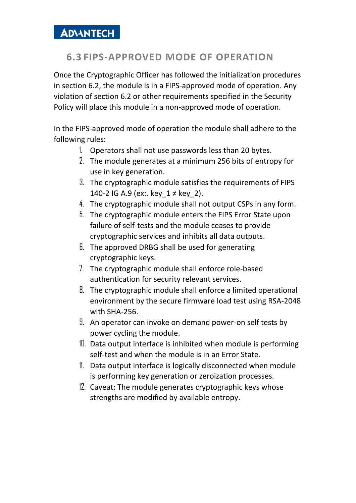# <span id="page-11-0"></span>**6.3 FIPS-APPROVED MODE OF OPERATION**

Once the Cryptographic Officer has followed the initialization procedures in section 6.2, the module is in a FIPS-approved mode of operation. Any violation of section 6.2 or other requirements specified in the Security Policy will place this module in a non-approved mode of operation.

In the FIPS-approved mode of operation the module shall adhere to the following rules:

- 1. Operators shall not use passwords less than 20 bytes.
- 2. The module generates at a minimum 256 bits of entropy for use in key generation.
- 3. The cryptographic module satisfies the requirements of FIPS 140-2 IG A.9 (ex:. key  $1 \neq$  key 2).
- 4. The cryptographic module shall not output CSPs in any form.
- 5. The cryptographic module enters the FIPS Error State upon failure of self-tests and the module ceases to provide cryptographic services and inhibits all data outputs.
- 6. The approved DRBG shall be used for generating cryptographic keys.
- 7. The cryptographic module shall enforce role-based authentication for security relevant services.
- 8. The cryptographic module shall enforce a limited operational environment by the secure firmware load test using RSA-2048 with SHA-256.
- 9. An operator can invoke on demand power-on self tests by power cycling the module.
- 10. Data output interface is inhibited when module is performing self-test and when the module is in an Error State.
- 11. Data output interface is logically disconnected when module is performing key generation or zeroization processes.
- 12. Caveat: The module generates cryptographic keys whose strengths are modified by available entropy.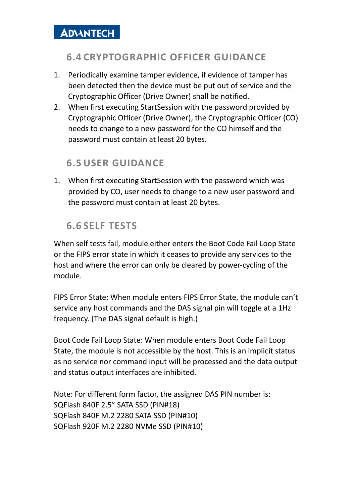### <span id="page-12-0"></span>**6.4 CRYPTOGRAPHIC OFFICER GUIDANCE**

- 1. Periodically examine tamper evidence, if evidence of tamper has been detected then the device must be put out of service and the Cryptographic Officer (Drive Owner) shall be notified.
- 2. When first executing StartSession with the password provided by Cryptographic Officer (Drive Owner), the Cryptographic Officer (CO) needs to change to a new password for the CO himself and the password must contain at least 20 bytes.

### <span id="page-12-1"></span>**6.5 USER GUIDANCE**

1. When first executing StartSession with the password which was provided by CO, user needs to change to a new user password and the password must contain at least 20 bytes.

# <span id="page-12-2"></span>**6.6 SELF TESTS**

When self tests fail, module either enters the Boot Code Fail Loop State or the FIPS error state in which it ceases to provide any services to the host and where the error can only be cleared by power-cycling of the module.

FIPS Error State: When module enters FIPS Error State, the module can't service any host commands and the DAS signal pin will toggle at a 1Hz frequency. (The DAS signal default is high.)

Boot Code Fail Loop State: When module enters Boot Code Fail Loop State, the module is not accessible by the host. This is an implicit status as no service nor command input will be processed and the data output and status output interfaces are inhibited.

Note: For different form factor, the assigned DAS PIN number is: SQFlash 840F 2.5" SATA SSD (PIN#18) SQFlash 840F M.2 2280 SATA SSD (PIN#10) SQFlash 920F M.2 2280 NVMe SSD (PIN#10)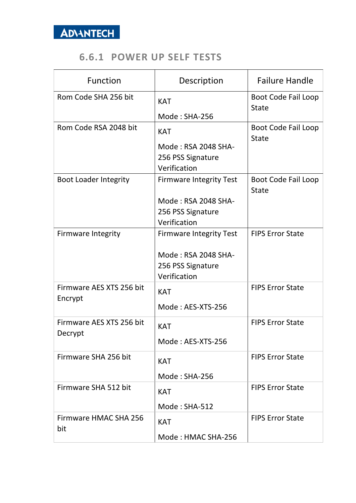#### **6.6.1 POWER UP SELF TESTS**

<span id="page-13-0"></span>

| <b>Function</b>                     | Description                                                                                | <b>Failure Handle</b>               |
|-------------------------------------|--------------------------------------------------------------------------------------------|-------------------------------------|
| Rom Code SHA 256 bit                | <b>KAT</b><br>Mode: SHA-256                                                                | Boot Code Fail Loop<br><b>State</b> |
| Rom Code RSA 2048 bit               | <b>KAT</b><br>Mode: RSA 2048 SHA-<br>256 PSS Signature<br>Verification                     | Boot Code Fail Loop<br><b>State</b> |
| <b>Boot Loader Integrity</b>        | <b>Firmware Integrity Test</b><br>Mode: RSA 2048 SHA-<br>256 PSS Signature<br>Verification | Boot Code Fail Loop<br><b>State</b> |
| <b>Firmware Integrity</b>           | <b>Firmware Integrity Test</b><br>Mode: RSA 2048 SHA-<br>256 PSS Signature<br>Verification | <b>FIPS Error State</b>             |
| Firmware AES XTS 256 bit<br>Encrypt | <b>KAT</b><br>Mode: AES-XTS-256                                                            | <b>FIPS Error State</b>             |
| Firmware AES XTS 256 bit<br>Decrypt | <b>KAT</b><br>Mode: AES-XTS-256                                                            | <b>FIPS Error State</b>             |
| Firmware SHA 256 bit                | <b>KAT</b><br>Mode: SHA-256                                                                | <b>FIPS Error State</b>             |
| Firmware SHA 512 bit                | <b>KAT</b><br>Mode: SHA-512                                                                | <b>FIPS Error State</b>             |
| Firmware HMAC SHA 256<br>bit        | <b>KAT</b><br>Mode: HMAC SHA-256                                                           | <b>FIPS Error State</b>             |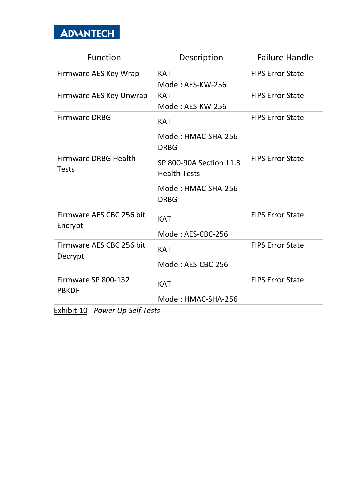

| <b>Function</b>                             | Description                                                                          | <b>Failure Handle</b>   |
|---------------------------------------------|--------------------------------------------------------------------------------------|-------------------------|
| Firmware AES Key Wrap                       | <b>KAT</b><br>Mode: AES-KW-256                                                       | <b>FIPS Error State</b> |
| Firmware AES Key Unwrap                     | <b>KAT</b><br>Mode: AES-KW-256                                                       | <b>FIPS Error State</b> |
| <b>Firmware DRBG</b>                        | <b>KAT</b><br>Mode: HMAC-SHA-256-<br><b>DRBG</b>                                     | <b>FIPS Error State</b> |
| <b>Firmware DRBG Health</b><br><b>Tests</b> | SP 800-90A Section 11.3<br><b>Health Tests</b><br>Mode: HMAC-SHA-256-<br><b>DRBG</b> | <b>FIPS Error State</b> |
| Firmware AES CBC 256 bit<br>Encrypt         | <b>KAT</b><br>Mode: AES-CBC-256                                                      | <b>FIPS Error State</b> |
| Firmware AES CBC 256 bit<br>Decrypt         | <b>KAT</b><br>Mode: AES-CBC-256                                                      | <b>FIPS Error State</b> |
| Firmware SP 800-132<br><b>PBKDF</b>         | <b>KAT</b><br>Mode: HMAC-SHA-256                                                     | <b>FIPS Error State</b> |

Exhibit 10 - *Power Up Self Tests*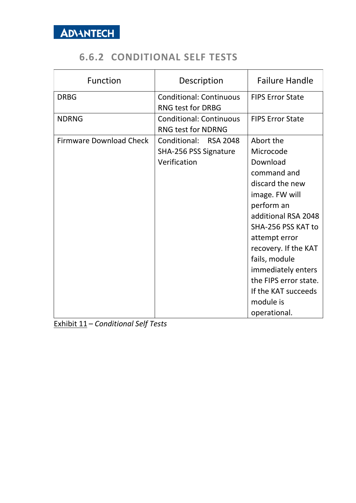## **6.6.2 CONDITIONAL SELF TESTS**

<span id="page-15-0"></span>

| <b>Function</b>                | Description                    | <b>Failure Handle</b>   |
|--------------------------------|--------------------------------|-------------------------|
| <b>DRBG</b>                    | <b>Conditional: Continuous</b> | <b>FIPS Error State</b> |
|                                | <b>RNG test for DRBG</b>       |                         |
| <b>NDRNG</b>                   | <b>Conditional: Continuous</b> | <b>FIPS Error State</b> |
|                                | <b>RNG test for NDRNG</b>      |                         |
| <b>Firmware Download Check</b> | Conditional: RSA 2048          | Abort the               |
|                                | SHA-256 PSS Signature          | Microcode               |
|                                | Verification                   | Download                |
|                                |                                | command and             |
|                                |                                | discard the new         |
|                                |                                | image. FW will          |
|                                |                                | perform an              |
|                                |                                | additional RSA 2048     |
|                                |                                | SHA-256 PSS KAT to      |
|                                |                                | attempt error           |
|                                |                                | recovery. If the KAT    |
|                                |                                | fails, module           |
|                                |                                | immediately enters      |
|                                |                                | the FIPS error state.   |
|                                |                                | If the KAT succeeds     |
|                                |                                | module is               |
|                                |                                | operational.            |

Exhibit 11 – *Conditional Self Tests*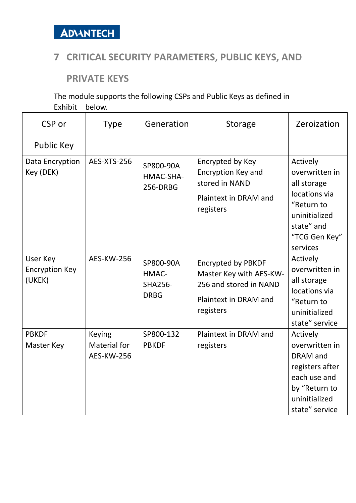

#### <span id="page-16-0"></span>**7 CRITICAL SECURITY PARAMETERS, PUBLIC KEYS, AND**

**PRIVATE KEYS**

The module supports the following CSPs and Public Keys as defined in [Exhibit](#page-18-0) below.

| CSP or                                      | <b>Type</b>                                               | Generation                                          | <b>Storage</b>                                                                                                       | Zeroization                                                                                                                          |
|---------------------------------------------|-----------------------------------------------------------|-----------------------------------------------------|----------------------------------------------------------------------------------------------------------------------|--------------------------------------------------------------------------------------------------------------------------------------|
| Public Key                                  |                                                           |                                                     |                                                                                                                      |                                                                                                                                      |
| Data Encryption<br>Key (DEK)                | AES-XTS-256                                               | SP800-90A<br>HMAC-SHA-<br>256-DRBG                  | Encrypted by Key<br>Encryption Key and<br>stored in NAND<br>Plaintext in DRAM and<br>registers                       | Actively<br>overwritten in<br>all storage<br>locations via<br>"Return to<br>uninitialized<br>state" and<br>"TCG Gen Key"<br>services |
| User Key<br><b>Encryption Key</b><br>(UKEK) | <b>AES-KW-256</b>                                         | SP800-90A<br>HMAC-<br><b>SHA256-</b><br><b>DRBG</b> | <b>Encrypted by PBKDF</b><br>Master Key with AES-KW-<br>256 and stored in NAND<br>Plaintext in DRAM and<br>registers | Actively<br>overwritten in<br>all storage<br>locations via<br>"Return to<br>uninitialized<br>state" service                          |
| <b>PBKDF</b><br>Master Key                  | <b>Keying</b><br><b>Material for</b><br><b>AES-KW-256</b> | SP800-132<br><b>PBKDF</b>                           | Plaintext in DRAM and<br>registers                                                                                   | Actively<br>overwritten in<br><b>DRAM</b> and<br>registers after<br>each use and<br>by "Return to<br>uninitialized<br>state" service |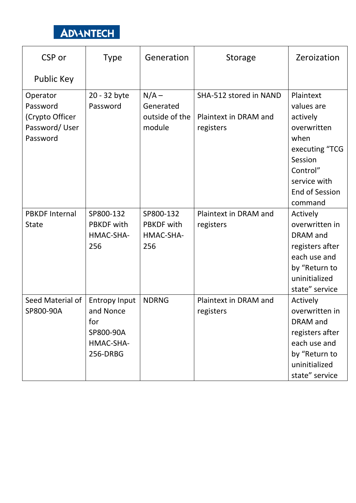| CSP or                | <b>Type</b>          | Generation        | <b>Storage</b>         | Zeroization           |
|-----------------------|----------------------|-------------------|------------------------|-----------------------|
| Public Key            |                      |                   |                        |                       |
| Operator              | 20 - 32 byte         | $N/A -$           | SHA-512 stored in NAND | Plaintext             |
| Password              | Password             | Generated         |                        | values are            |
| (Crypto Officer       |                      | outside of the    | Plaintext in DRAM and  | actively              |
| Password/User         |                      | module            | registers              | overwritten           |
| Password              |                      |                   |                        | when                  |
|                       |                      |                   |                        | executing "TCG        |
|                       |                      |                   |                        | Session               |
|                       |                      |                   |                        | Control"              |
|                       |                      |                   |                        | service with          |
|                       |                      |                   |                        | <b>End of Session</b> |
|                       |                      |                   |                        | command               |
| <b>PBKDF Internal</b> | SP800-132            | SP800-132         | Plaintext in DRAM and  | Actively              |
| <b>State</b>          | <b>PBKDF</b> with    | <b>PBKDF</b> with | registers              | overwritten in        |
|                       | HMAC-SHA-            | HMAC-SHA-         |                        | DRAM and              |
|                       | 256                  | 256               |                        | registers after       |
|                       |                      |                   |                        | each use and          |
|                       |                      |                   |                        | by "Return to         |
|                       |                      |                   |                        | uninitialized         |
|                       |                      |                   |                        | state" service        |
| Seed Material of      | <b>Entropy Input</b> | <b>NDRNG</b>      | Plaintext in DRAM and  | Actively              |
| SP800-90A             | and Nonce            |                   | registers              | overwritten in        |
|                       | for                  |                   |                        | DRAM and              |
|                       | SP800-90A            |                   |                        | registers after       |
|                       | HMAC-SHA-            |                   |                        | each use and          |
|                       | 256-DRBG             |                   |                        | by "Return to         |
|                       |                      |                   |                        | uninitialized         |
|                       |                      |                   |                        | state" service        |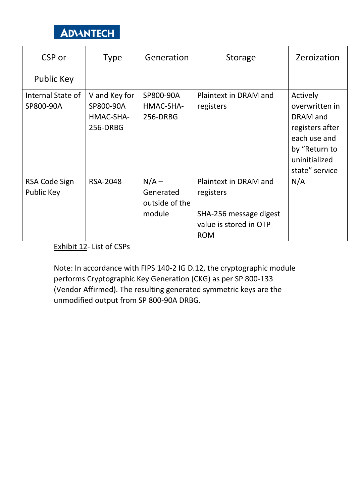

| CSP or                         | <b>Type</b>                                         | Generation                                       | <b>Storage</b>                                                                                        | Zeroization                                                                                                 |
|--------------------------------|-----------------------------------------------------|--------------------------------------------------|-------------------------------------------------------------------------------------------------------|-------------------------------------------------------------------------------------------------------------|
| <b>Public Key</b>              |                                                     |                                                  |                                                                                                       |                                                                                                             |
| Internal State of<br>SP800-90A | V and Key for<br>SP800-90A<br>HMAC-SHA-<br>256-DRBG | SP800-90A<br>HMAC-SHA-<br>256-DRBG               | Plaintext in DRAM and<br>registers                                                                    | Actively<br>overwritten in<br>DRAM and<br>registers after<br>each use and<br>by "Return to<br>uninitialized |
| RSA Code Sign<br>Public Key    | <b>RSA-2048</b>                                     | $N/A -$<br>Generated<br>outside of the<br>module | Plaintext in DRAM and<br>registers<br>SHA-256 message digest<br>value is stored in OTP-<br><b>ROM</b> | state" service<br>N/A                                                                                       |

<span id="page-18-0"></span>Exhibit 12- List of CSPs

Note: In accordance with FIPS 140-2 IG D.12, the cryptographic module performs Cryptographic Key Generation (CKG) as per SP 800-133 (Vendor Affirmed). The resulting generated symmetric keys are the unmodified output from SP 800-90A DRBG.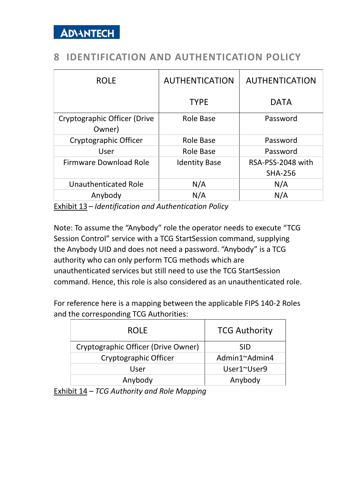#### <span id="page-19-0"></span>**8 IDENTIFICATION AND AUTHENTICATION POLICY**

| <b>ROLE</b>                            | <b>AUTHENTICATION</b> | <b>AUTHENTICATION</b> |
|----------------------------------------|-----------------------|-----------------------|
|                                        | <b>TYPE</b>           | <b>DATA</b>           |
| Cryptographic Officer (Drive<br>Owner) | Role Base             | Password              |
| Cryptographic Officer                  | Role Base             | Password              |
| User                                   | Role Base             | Password              |
| Firmware Download Role                 | <b>Identity Base</b>  | RSA-PSS-2048 with     |
|                                        |                       | <b>SHA-256</b>        |
| Unauthenticated Role                   | N/A                   | N/A                   |
| Anybody                                | N/A                   | N/A                   |

Exhibit 13 – *Identification and Authentication Policy*

Note: To assume the "Anybody" role the operator needs to execute "TCG Session Control" service with a TCG StartSession command, supplying the Anybody UID and does not need a password. "Anybody" is a TCG authority who can only perform TCG methods which are unauthenticated services but still need to use the TCG StartSession command. Hence, this role is also considered as an unauthenticated role.

For reference here is a mapping between the applicable FIPS 140-2 Roles and the corresponding TCG Authorities:

| <b>ROLE</b>                         | <b>TCG Authority</b> |
|-------------------------------------|----------------------|
| Cryptographic Officer (Drive Owner) | SID.                 |
| Cryptographic Officer               | Admin1~Admin4        |
| User                                | User1~User9          |
| Anybody                             | Anybody              |

Exhibit 14 *– TCG Authority and Role Mapping*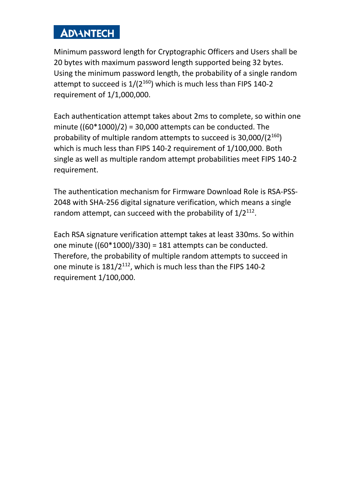Minimum password length for Cryptographic Officers and Users shall be 20 bytes with maximum password length supported being 32 bytes. Using the minimum password length, the probability of a single random attempt to succeed is  $1/(2^{160})$  which is much less than FIPS 140-2 requirement of 1/1,000,000.

Each authentication attempt takes about 2ms to complete, so within one minute  $((60*1000)/2) = 30,000$  attempts can be conducted. The probability of multiple random attempts to succeed is  $30,000/(2^{160})$ which is much less than FIPS 140-2 requirement of 1/100,000. Both single as well as multiple random attempt probabilities meet FIPS 140-2 requirement.

The authentication mechanism for Firmware Download Role is RSA-PSS-2048 with SHA-256 digital signature verification, which means a single random attempt, can succeed with the probability of  $1/2^{112}$ .

Each RSA signature verification attempt takes at least 330ms. So within one minute  $((60*1000)/330) = 181$  attempts can be conducted. Therefore, the probability of multiple random attempts to succeed in one minute is 181/2<sup>112</sup>, which is much less than the FIPS 140-2 requirement 1/100,000.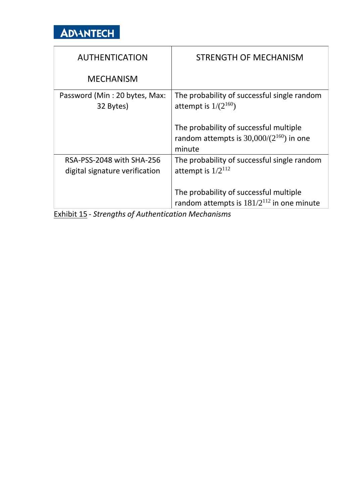

| <b>AUTHENTICATION</b>                                       | <b>STRENGTH OF MECHANISM</b>                                                                     |
|-------------------------------------------------------------|--------------------------------------------------------------------------------------------------|
| <b>MECHANISM</b>                                            |                                                                                                  |
| Password (Min: 20 bytes, Max:<br>32 Bytes)                  | The probability of successful single random<br>attempt is $1/(2^{160})$                          |
|                                                             | The probability of successful multiple<br>random attempts is $30,000/(2^{160})$ in one<br>minute |
| RSA-PSS-2048 with SHA-256<br>digital signature verification | The probability of successful single random<br>attempt is $1/2^{112}$                            |
|                                                             | The probability of successful multiple<br>random attempts is $181/2^{112}$ in one minute         |

Exhibit 15 - *Strengths of Authentication Mechanisms*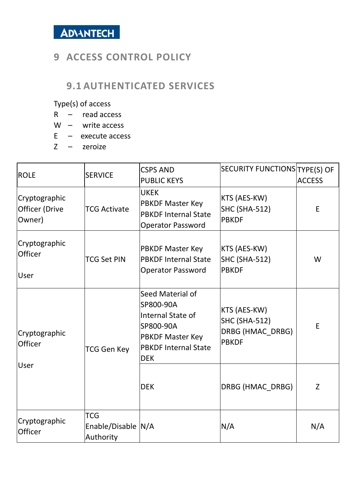

#### <span id="page-22-0"></span>**9 ACCESS CONTROL POLICY**

#### <span id="page-22-1"></span>**9.1 AUTHENTICATED SERVICES**

Type(s) of access

- R read access
- W write access
- $E e$  xecute access
- Z zeroize

| <b>ROLE</b>                               | <b>SERVICE</b>                                | <b>CSPS AND</b><br><b>PUBLIC KEYS</b>                                                                                                   | SECURITY FUNCTIONS TYPE(S) OF                                            | <b>ACCESS</b> |
|-------------------------------------------|-----------------------------------------------|-----------------------------------------------------------------------------------------------------------------------------------------|--------------------------------------------------------------------------|---------------|
| Cryptographic<br>Officer (Drive<br>Owner) | <b>TCG Activate</b>                           | <b>UKEK</b><br><b>PBKDF Master Key</b><br><b>PBKDF Internal State</b><br><b>Operator Password</b>                                       | KTS (AES-KW)<br>SHC (SHA-512)<br><b>PBKDF</b>                            | E             |
| Cryptographic<br><b>Officer</b><br>User   | <b>TCG Set PIN</b>                            | <b>PBKDF Master Key</b><br><b>PBKDF Internal State</b><br><b>Operator Password</b>                                                      | KTS (AES-KW)<br>SHC (SHA-512)<br><b>PBKDF</b>                            | W             |
| Cryptographic<br>Officer                  | TCG Gen Key                                   | Seed Material of<br>SP800-90A<br>Internal State of<br>SP800-90A<br><b>PBKDF Master Key</b><br><b>PBKDF Internal State</b><br><b>DEK</b> | <b>KTS (AES-KW)</b><br>SHC (SHA-512)<br>DRBG (HMAC DRBG)<br><b>PBKDF</b> | E             |
| User                                      |                                               | <b>DEK</b>                                                                                                                              | DRBG (HMAC_DRBG)                                                         | Z             |
| Cryptographic<br>Officer                  | <b>TCG</b><br>Enable/Disable N/A<br>Authority |                                                                                                                                         | N/A                                                                      | N/A           |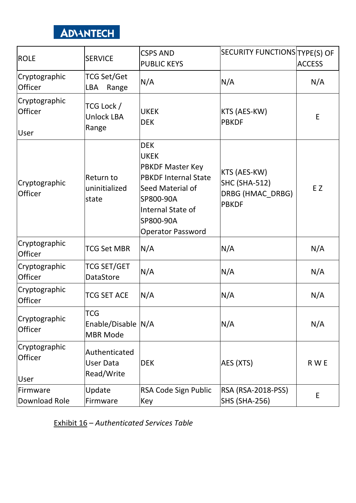| <b>ROLE</b>                      | <b>SERVICE</b>                                      | <b>CSPS AND</b><br><b>PUBLIC KEYS</b>                                                                                                                                              | SECURITY FUNCTIONS TYPE(S) OF                                            | <b>ACCESS</b> |
|----------------------------------|-----------------------------------------------------|------------------------------------------------------------------------------------------------------------------------------------------------------------------------------------|--------------------------------------------------------------------------|---------------|
| Cryptographic<br>Officer         | <b>TCG Set/Get</b><br><b>LBA</b><br>Range           | N/A                                                                                                                                                                                | N/A                                                                      | N/A           |
| Cryptographic<br>Officer<br>User | TCG Lock /<br><b>Unlock LBA</b><br>Range            | <b>UKEK</b><br><b>DEK</b>                                                                                                                                                          | KTS (AES-KW)<br><b>PBKDF</b>                                             | E             |
| Cryptographic<br>Officer         | Return to<br>uninitialized<br>state                 | <b>DEK</b><br><b>UKEK</b><br><b>PBKDF Master Key</b><br><b>PBKDF Internal State</b><br>Seed Material of<br>SP800-90A<br>Internal State of<br>SP800-90A<br><b>Operator Password</b> | KTS (AES-KW)<br><b>SHC (SHA-512)</b><br>DRBG (HMAC_DRBG)<br><b>PBKDF</b> | EZ            |
| Cryptographic<br>Officer         | <b>TCG Set MBR</b>                                  | N/A                                                                                                                                                                                | N/A                                                                      | N/A           |
| Cryptographic<br>Officer         | <b>TCG SET/GET</b><br>DataStore                     | N/A                                                                                                                                                                                | N/A                                                                      | N/A           |
| Cryptographic<br>Officer         | <b>TCG SET ACE</b>                                  | N/A                                                                                                                                                                                | N/A                                                                      | N/A           |
| Cryptographic<br>Officer         | <b>TCG</b><br>Enable/Disable N/A<br><b>MBR Mode</b> |                                                                                                                                                                                    | N/A                                                                      | N/A           |
| Cryptographic<br>Officer<br>User | Authenticated<br><b>User Data</b><br>Read/Write     | <b>DEK</b>                                                                                                                                                                         | AES (XTS)                                                                | R W E         |
| Firmware<br>Download Role        | Update<br>Firmware                                  | RSA Code Sign Public<br>Key                                                                                                                                                        | <b>RSA (RSA-2018-PSS)</b><br><b>SHS (SHA-256)</b>                        | E             |

Exhibit 16 – *Authenticated Services Table*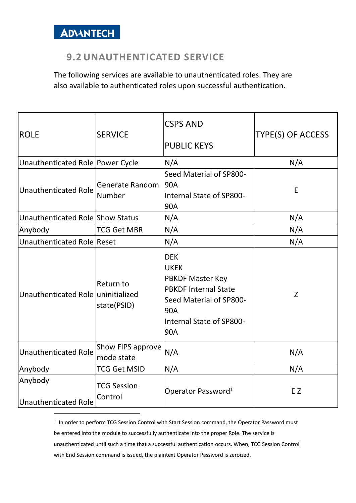

#### <span id="page-24-0"></span>**9.2 UNAUTHENTICATED SERVICE**

The following services are available to unauthenticated roles. They are also available to authenticated roles upon successful authentication.

| <b>ROLE</b>                        | <b>SERVICE</b>                  | <b>CSPS AND</b><br><b>PUBLIC KEYS</b>                                                                                                                    | TYPE(S) OF ACCESS |
|------------------------------------|---------------------------------|----------------------------------------------------------------------------------------------------------------------------------------------------------|-------------------|
| Unauthenticated Role Power Cycle   |                                 | N/A                                                                                                                                                      | N/A               |
| Unauthenticated Role               | Generate Random<br>Number       | Seed Material of SP800-<br>90A<br>Internal State of SP800-<br>90A                                                                                        | E                 |
| Unauthenticated Role Show Status   |                                 | N/A                                                                                                                                                      | N/A               |
| Anybody                            | <b>TCG Get MBR</b>              | N/A                                                                                                                                                      | N/A               |
| Unauthenticated Role Reset         |                                 | N/A                                                                                                                                                      | N/A               |
| Unauthenticated Role uninitialized | <b>Return to</b><br>state(PSID) | <b>DEK</b><br><b>UKEK</b><br><b>PBKDF Master Key</b><br><b>PBKDF Internal State</b><br>Seed Material of SP800-<br>90A<br>Internal State of SP800-<br>90A | Z                 |
| Unauthenticated Role               | Show FIPS approve<br>mode state | N/A                                                                                                                                                      | N/A               |
| Anybody                            | <b>TCG Get MSID</b>             | N/A                                                                                                                                                      | N/A               |
| Anybody<br>Unauthenticated Role    | <b>TCG Session</b><br>Control   | Operator Password <sup>1</sup>                                                                                                                           | EZ.               |

<sup>1</sup> In order to perform TCG Session Control with Start Session command, the Operator Password must be entered into the module to successfully authenticate into the proper Role. The service is unauthenticated until such a time that a successful authentication occurs. When, TCG Session Control with End Session command is issued, the plaintext Operator Password is zeroized.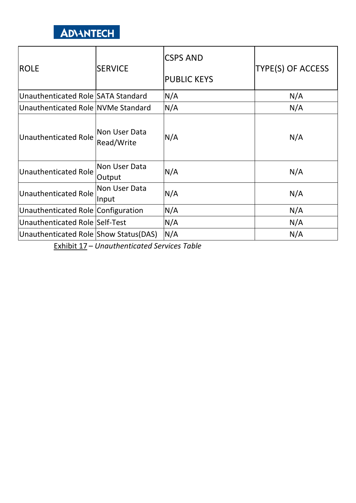| <b>ROLE</b>                           | <b>SERVICE</b>              | <b>CSPS AND</b><br><b>PUBLIC KEYS</b> | TYPE(S) OF ACCESS |
|---------------------------------------|-----------------------------|---------------------------------------|-------------------|
| Unauthenticated Role SATA Standard    |                             | N/A                                   | N/A               |
| Unauthenticated Role NVMe Standard    |                             | N/A                                   | N/A               |
| <b>Unauthenticated Role</b>           | Non User Data<br>Read/Write | N/A                                   | N/A               |
| Unauthenticated Role                  | Non User Data<br>Output     | N/A                                   | N/A               |
| Unauthenticated Role                  | Non User Data<br>Input      | N/A                                   | N/A               |
| Unauthenticated Role Configuration    |                             | N/A                                   | N/A               |
| Unauthenticated Role Self-Test        |                             | N/A                                   | N/A               |
| Unauthenticated Role Show Status(DAS) |                             | N/A                                   | N/A               |

Exhibit 17 – *Unauthenticated Services Table*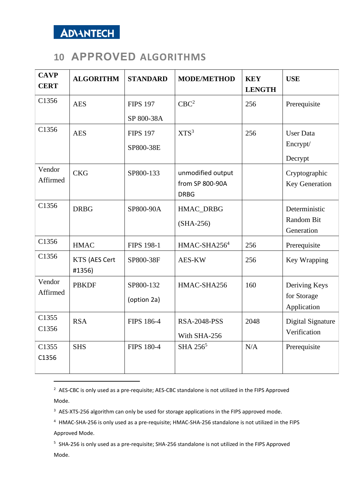

### <span id="page-26-0"></span>**10 APPROVED ALGORITHMS**

| <b>CAVP</b><br><b>CERT</b> | <b>ALGORITHM</b>        | <b>STANDARD</b>               | <b>MODE/METHOD</b>                                  | <b>KEY</b><br><b>LENGTH</b> | <b>USE</b>                                  |
|----------------------------|-------------------------|-------------------------------|-----------------------------------------------------|-----------------------------|---------------------------------------------|
| C1356                      | <b>AES</b>              | <b>FIPS 197</b><br>SP 800-38A | CBC <sup>2</sup>                                    | 256                         | Prerequisite                                |
| C1356                      | <b>AES</b>              | <b>FIPS 197</b><br>SP800-38E  | XTS <sup>3</sup>                                    | 256                         | <b>User Data</b><br>Encrypt/<br>Decrypt     |
| Vendor<br>Affirmed         | <b>CKG</b>              | SP800-133                     | unmodified output<br>from SP 800-90A<br><b>DRBG</b> |                             | Cryptographic<br>Key Generation             |
| C1356                      | <b>DRBG</b>             | SP800-90A                     | HMAC_DRBG<br>$(SHA-256)$                            |                             | Deterministic<br>Random Bit<br>Generation   |
| C1356                      | <b>HMAC</b>             | <b>FIPS 198-1</b>             | HMAC-SHA256 <sup>4</sup>                            | 256                         | Prerequisite                                |
| C1356                      | KTS (AES Cert<br>#1356) | SP800-38F                     | AES-KW                                              | 256                         | Key Wrapping                                |
| Vendor<br>Affirmed         | <b>PBKDF</b>            | SP800-132<br>(option 2a)      | HMAC-SHA256                                         | 160                         | Deriving Keys<br>for Storage<br>Application |
| C1355<br>C1356             | <b>RSA</b>              | <b>FIPS 186-4</b>             | <b>RSA-2048-PSS</b><br>With SHA-256                 | 2048                        | Digital Signature<br>Verification           |
| C1355<br>C1356             | <b>SHS</b>              | <b>FIPS 180-4</b>             | SHA 256 <sup>5</sup>                                | N/A                         | Prerequisite                                |

<sup>2</sup> AES-CBC is only used as a pre-requisite; AES-CBC standalone is not utilized in the FIPS Approved Mode.

<sup>3</sup> AES-XTS-256 algorithm can only be used for storage applications in the FIPS approved mode.

<sup>4</sup> HMAC-SHA-256 is only used as a pre-requisite; HMAC-SHA-256 standalone is not utilized in the FIPS Approved Mode.

<sup>5</sup> SHA-256 is only used as a pre-requisite; SHA-256 standalone is not utilized in the FIPS Approved Mode.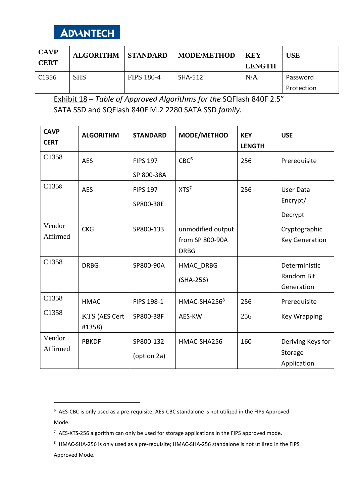

| <b>CAVP</b><br><b>CERT</b> | <b>ALGORITHM</b> | <b>STANDARD</b>   | <b>MODE/METHOD</b> | - KEY<br><b>LENGTH</b> | <b>USE</b> |
|----------------------------|------------------|-------------------|--------------------|------------------------|------------|
| C <sub>1356</sub>          | <b>SHS</b>       | <b>FIPS 180-4</b> | <b>SHA-512</b>     | N/A                    | Password   |
|                            |                  |                   |                    |                        | Protection |

Exhibit 18 – *Table of Approved Algorithms for the* SQFlash 840F 2.5" SATA SSD and SQFlash 840F M.2 2280 SATA SSD *family.*

| <b>CAVP</b><br><b>CERT</b> | <b>ALGORITHM</b>               | <b>STANDARD</b>               | MODE/METHOD                                         | <b>KEY</b><br><b>LENGTH</b> | <b>USE</b>                                  |
|----------------------------|--------------------------------|-------------------------------|-----------------------------------------------------|-----------------------------|---------------------------------------------|
| C <sub>1358</sub>          | <b>AES</b>                     | <b>FIPS 197</b><br>SP 800-38A | CBC <sup>6</sup>                                    | 256                         | Prerequisite                                |
| C1358                      | <b>AES</b>                     | <b>FIPS 197</b><br>SP800-38E  | XTS <sup>7</sup>                                    | 256                         | User Data<br>Encrypt/<br>Decrypt            |
| Vendor<br>Affirmed         | <b>CKG</b>                     | SP800-133                     | unmodified output<br>from SP 800-90A<br><b>DRBG</b> |                             | Cryptographic<br><b>Key Generation</b>      |
| C <sub>1358</sub>          | <b>DRBG</b>                    | SP800-90A                     | HMAC DRBG<br>$(SHA-256)$                            |                             | Deterministic<br>Random Bit<br>Generation   |
| C1358                      | <b>HMAC</b>                    | FIPS 198-1                    | HMAC-SHA2568                                        | 256                         | Prerequisite                                |
| C1358                      | <b>KTS (AES Cert</b><br>#1358) | SP800-38F                     | AES-KW                                              | 256                         | <b>Key Wrapping</b>                         |
| Vendor<br>Affirmed         | <b>PBKDF</b>                   | SP800-132<br>(option 2a)      | HMAC-SHA256                                         | 160                         | Deriving Keys for<br>Storage<br>Application |

<sup>6</sup> AES-CBC is only used as a pre-requisite; AES-CBC standalone is not utilized in the FIPS Approved Mode.

<sup>7</sup> AES-XTS-256 algorithm can only be used for storage applications in the FIPS approved mode.

<sup>8</sup> HMAC-SHA-256 is only used as a pre-requisite; HMAC-SHA-256 standalone is not utilized in the FIPS Approved Mode.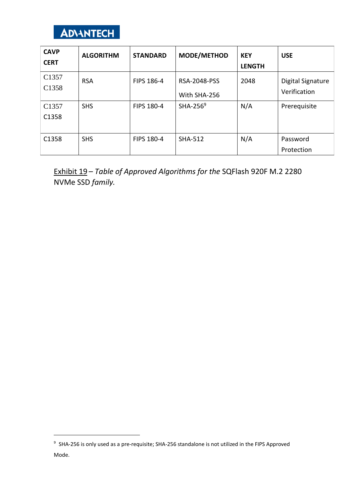

| <b>CAVP</b><br><b>CERT</b> | <b>ALGORITHM</b> | <b>STANDARD</b>   | <b>MODE/METHOD</b>                  | <b>KEY</b><br><b>LENGTH</b> | <b>USE</b>                               |
|----------------------------|------------------|-------------------|-------------------------------------|-----------------------------|------------------------------------------|
| C <sub>1357</sub><br>C1358 | <b>RSA</b>       | FIPS 186-4        | <b>RSA-2048-PSS</b><br>With SHA-256 | 2048                        | <b>Digital Signature</b><br>Verification |
| C <sub>1357</sub><br>C1358 | <b>SHS</b>       | <b>FIPS 180-4</b> | SHA-256 $9$                         | N/A                         | Prerequisite                             |
| C1358                      | <b>SHS</b>       | FIPS 180-4        | <b>SHA-512</b>                      | N/A                         | Password<br>Protection                   |

Exhibit 19 – *Table of Approved Algorithms for the* SQFlash 920F M.2 2280 NVMe SSD *family.*

<sup>&</sup>lt;sup>9</sup> SHA-256 is only used as a pre-requisite; SHA-256 standalone is not utilized in the FIPS Approved Mode.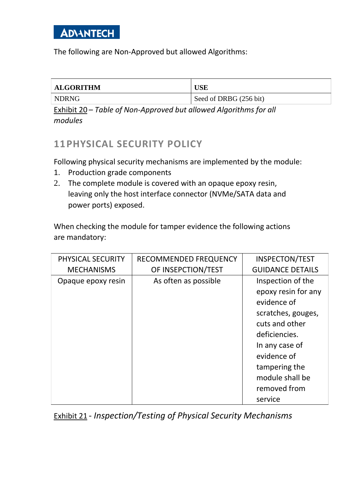The following are Non-Approved but allowed Algorithms:

| <b>ALGORITHM</b>                                                                | <b>USE</b>             |  |
|---------------------------------------------------------------------------------|------------------------|--|
| NDRNG                                                                           | Seed of DRBG (256 bit) |  |
| $\Gamma$ ubibit 20 $\Gamma$ chlo of Nep Approved but allowed Algorithme for all |                        |  |

Exhibit 20 – *Table of Non-Approved but allowed Algorithms for all modules*

### <span id="page-29-0"></span>**11PHYSICAL SECURITY POLICY**

Following physical security mechanisms are implemented by the module:

- 1. Production grade components
- 2. The complete module is covered with an opaque epoxy resin, leaving only the host interface connector (NVMe/SATA data and power ports) exposed.

When checking the module for tamper evidence the following actions are mandatory:

| PHYSICAL SECURITY  | RECOMMENDED FREQUENCY | <b>INSPECTON/TEST</b>   |
|--------------------|-----------------------|-------------------------|
| <b>MECHANISMS</b>  | OF INSEPCTION/TEST    | <b>GUIDANCE DETAILS</b> |
| Opaque epoxy resin | As often as possible  | Inspection of the       |
|                    |                       | epoxy resin for any     |
|                    |                       | evidence of             |
|                    |                       | scratches, gouges,      |
|                    |                       | cuts and other          |
|                    |                       | deficiencies.           |
|                    |                       | In any case of          |
|                    |                       | evidence of             |
|                    |                       | tampering the           |
|                    |                       | module shall be         |
|                    |                       | removed from            |
|                    |                       | service                 |

Exhibit 21 - *Inspection/Testing of Physical Security Mechanisms*